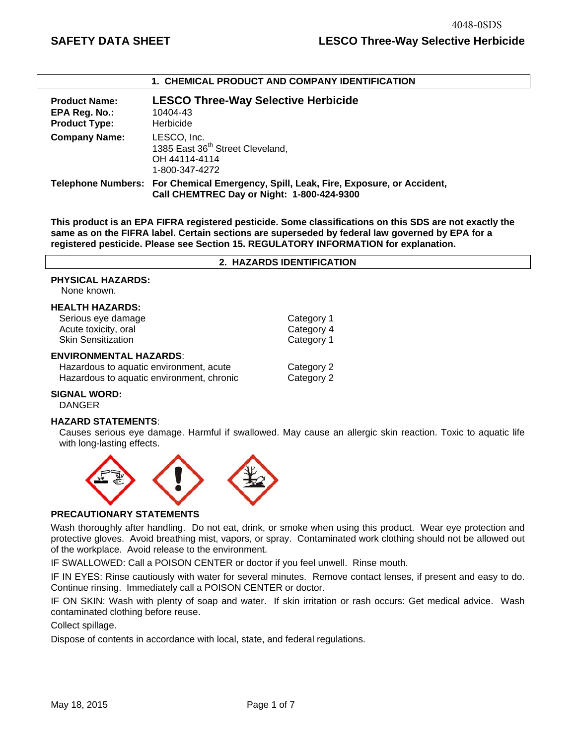| I. CHEMICAL FRODOCT AND COMFANT IDENTIFICATION                |                                                                                                                                    |  |
|---------------------------------------------------------------|------------------------------------------------------------------------------------------------------------------------------------|--|
| <b>Product Name:</b><br>EPA Reg. No.:<br><b>Product Type:</b> | <b>LESCO Three-Way Selective Herbicide</b><br>10404-43<br>Herbicide                                                                |  |
| <b>Company Name:</b>                                          | LESCO, Inc.<br>1385 East 36 <sup>th</sup> Street Cleveland,<br>OH 44114-4114<br>1-800-347-4272                                     |  |
|                                                               | Telephone Numbers: For Chemical Emergency, Spill, Leak, Fire, Exposure, or Accident,<br>Call CHEMTREC Day or Night: 1-800-424-9300 |  |

**This product is an EPA FIFRA registered pesticide. Some classifications on this SDS are not exactly the same as on the FIFRA label. Certain sections are superseded by federal law governed by EPA for a registered pesticide. Please see Section 15. REGULATORY INFORMATION for explanation.**

**1. CHEMICAL PRODUCT AND COMPANY IDENTIFICATION**

|                                                                                                                       | 2. HAZARDS IDENTIFICATION              |
|-----------------------------------------------------------------------------------------------------------------------|----------------------------------------|
| <b>PHYSICAL HAZARDS:</b><br>None known.                                                                               |                                        |
| <b>HEALTH HAZARDS:</b><br>Serious eye damage<br>Acute toxicity, oral<br><b>Skin Sensitization</b>                     | Category 1<br>Category 4<br>Category 1 |
| <b>ENVIRONMENTAL HAZARDS:</b><br>Hazardous to aquatic environment, acute<br>Hazardous to aquatic environment, chronic | Category 2<br>Category 2               |

### **SIGNAL WORD:**

DANGER

#### **HAZARD STATEMENTS**:

Causes serious eye damage. Harmful if swallowed. May cause an allergic skin reaction. Toxic to aquatic life with long-lasting effects.



### **PRECAUTIONARY STATEMENTS**

Wash thoroughly after handling. Do not eat, drink, or smoke when using this product. Wear eye protection and protective gloves. Avoid breathing mist, vapors, or spray. Contaminated work clothing should not be allowed out of the workplace. Avoid release to the environment.

IF SWALLOWED: Call a POISON CENTER or doctor if you feel unwell. Rinse mouth.

IF IN EYES: Rinse cautiously with water for several minutes. Remove contact lenses, if present and easy to do. Continue rinsing. Immediately call a POISON CENTER or doctor.

IF ON SKIN: Wash with plenty of soap and water. If skin irritation or rash occurs: Get medical advice. Wash contaminated clothing before reuse.

Collect spillage.

Dispose of contents in accordance with local, state, and federal regulations.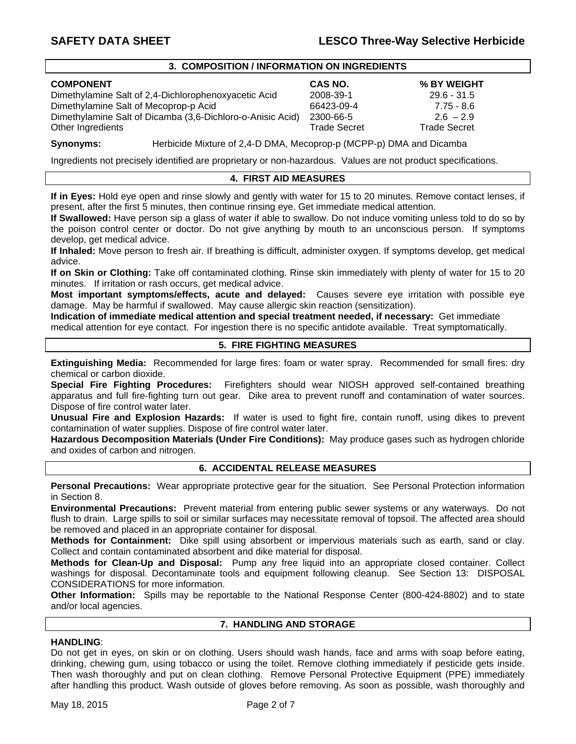#### **3. COMPOSITION / INFORMATION ON INGREDIENTS**

#### **COMPONENT CAS NO. % BY WEIGHT**

Dimethylamine Salt of 2,4-Dichlorophenoxyacetic Acid 2008-39-1 29.6 - 31.5 Dimethylamine Salt of Mecoprop-p Acid 66423-09-4 7.75 - 8.6 Dimethylamine Salt of Dicamba (3,6-Dichloro-o-Anisic Acid) 2300-66-5 2.6 – 2.9 Other Ingredients **Trade Secret** Trade Secret Trade Secret Trade Secret Trade Secret

**Synonyms:** Herbicide Mixture of 2,4-D DMA, Mecoprop-p (MCPP-p) DMA and Dicamba

Ingredients not precisely identified are proprietary or non-hazardous. Values are not product specifications.

## **4. FIRST AID MEASURES**

**If in Eyes:** Hold eye open and rinse slowly and gently with water for 15 to 20 minutes. Remove contact lenses, if present, after the first 5 minutes, then continue rinsing eye. Get immediate medical attention.

**If Swallowed:** Have person sip a glass of water if able to swallow. Do not induce vomiting unless told to do so by the poison control center or doctor. Do not give anything by mouth to an unconscious person. If symptoms develop, get medical advice.

**If Inhaled:** Move person to fresh air. If breathing is difficult, administer oxygen. If symptoms develop, get medical advice.

**If on Skin or Clothing:** Take off contaminated clothing. Rinse skin immediately with plenty of water for 15 to 20 minutes. If irritation or rash occurs, get medical advice.

**Most important symptoms/effects, acute and delayed:** Causes severe eye irritation with possible eye damage. May be harmful if swallowed. May cause allergic skin reaction (sensitization).

**Indication of immediate medical attention and special treatment needed, if necessary:** Get immediate medical attention for eye contact. For ingestion there is no specific antidote available. Treat symptomatically.

## **5. FIRE FIGHTING MEASURES**

**Extinguishing Media:** Recommended for large fires: foam or water spray. Recommended for small fires: dry chemical or carbon dioxide.

**Special Fire Fighting Procedures:** Firefighters should wear NIOSH approved self-contained breathing apparatus and full fire-fighting turn out gear. Dike area to prevent runoff and contamination of water sources. Dispose of fire control water later.

**Unusual Fire and Explosion Hazards:** If water is used to fight fire, contain runoff, using dikes to prevent contamination of water supplies. Dispose of fire control water later.

**Hazardous Decomposition Materials (Under Fire Conditions):** May produce gases such as hydrogen chloride and oxides of carbon and nitrogen.

## **6. ACCIDENTAL RELEASE MEASURES**

**Personal Precautions:** Wear appropriate protective gear for the situation. See Personal Protection information in Section 8.

**Environmental Precautions:** Prevent material from entering public sewer systems or any waterways. Do not flush to drain. Large spills to soil or similar surfaces may necessitate removal of topsoil. The affected area should be removed and placed in an appropriate container for disposal.

**Methods for Containment:** Dike spill using absorbent or impervious materials such as earth, sand or clay. Collect and contain contaminated absorbent and dike material for disposal.

**Methods for Clean-Up and Disposal:** Pump any free liquid into an appropriate closed container. Collect washings for disposal. Decontaminate tools and equipment following cleanup. See Section 13: DISPOSAL CONSIDERATIONS for more information.

**Other Information:** Spills may be reportable to the National Response Center (800-424-8802) and to state and/or local agencies.

### **7. HANDLING AND STORAGE**

## **HANDLING**:

Do not get in eyes, on skin or on clothing. Users should wash hands, face and arms with soap before eating, drinking, chewing gum, using tobacco or using the toilet. Remove clothing immediately if pesticide gets inside. Then wash thoroughly and put on clean clothing. Remove Personal Protective Equipment (PPE) immediately after handling this product. Wash outside of gloves before removing. As soon as possible, wash thoroughly and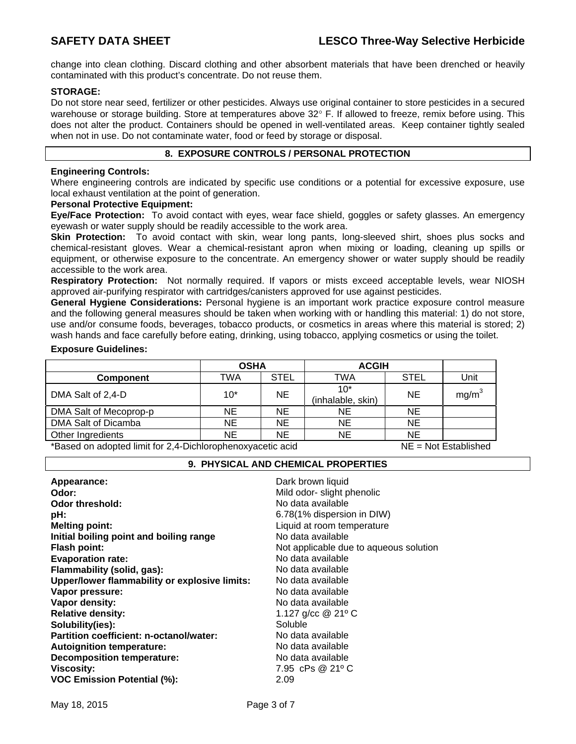change into clean clothing. Discard clothing and other absorbent materials that have been drenched or heavily contaminated with this product's concentrate. Do not reuse them.

## **STORAGE:**

Do not store near seed, fertilizer or other pesticides. Always use original container to store pesticides in a secured warehouse or storage building. Store at temperatures above 32° F. If allowed to freeze, remix before using. This does not alter the product. Containers should be opened in well-ventilated areas. Keep container tightly sealed when not in use. Do not contaminate water, food or feed by storage or disposal.

## **8. EXPOSURE CONTROLS / PERSONAL PROTECTION**

## **Engineering Controls:**

Where engineering controls are indicated by specific use conditions or a potential for excessive exposure, use local exhaust ventilation at the point of generation.

### **Personal Protective Equipment:**

**Eye/Face Protection:** To avoid contact with eyes, wear face shield, goggles or safety glasses. An emergency eyewash or water supply should be readily accessible to the work area.

**Skin Protection:** To avoid contact with skin, wear long pants, long-sleeved shirt, shoes plus socks and chemical-resistant gloves. Wear a chemical-resistant apron when mixing or loading, cleaning up spills or equipment, or otherwise exposure to the concentrate. An emergency shower or water supply should be readily accessible to the work area.

**Respiratory Protection:** Not normally required. If vapors or mists exceed acceptable levels, wear NIOSH approved air-purifying respirator with cartridges/canisters approved for use against pesticides.

**General Hygiene Considerations:** Personal hygiene is an important work practice exposure control measure and the following general measures should be taken when working with or handling this material: 1) do not store, use and/or consume foods, beverages, tobacco products, or cosmetics in areas where this material is stored; 2) wash hands and face carefully before eating, drinking, using tobacco, applying cosmetics or using the toilet.

### **Exposure Guidelines:**

|                        | <b>OSHA</b> |             | <b>ACGIH</b>               |             |                   |
|------------------------|-------------|-------------|----------------------------|-------------|-------------------|
| <b>Component</b>       | TWA         | <b>STEL</b> | TWA                        | <b>STEL</b> | Unit              |
| DMA Salt of 2,4-D      | $10*$       | NE          | $10*$<br>(inhalable, skin) | <b>NE</b>   | mg/m <sup>3</sup> |
| DMA Salt of Mecoprop-p | NE          | NE          | NΕ                         | <b>NE</b>   |                   |
| DMA Salt of Dicamba    | NE          | NE          | NE                         | <b>NE</b>   |                   |
| Other Ingredients      | <b>NE</b>   | <b>NE</b>   | ΝE                         | <b>NE</b>   |                   |

\*Based on adopted limit for 2,4-Dichlorophenoxyacetic acid NE = Not Established 

### **9. PHYSICAL AND CHEMICAL PROPERTIES**

| Appearance:                                   | Dark brown liquid                      |
|-----------------------------------------------|----------------------------------------|
| Odor:                                         | Mild odor- slight phenolic             |
| <b>Odor threshold:</b>                        | No data available                      |
| pH:                                           | 6.78(1% dispersion in DIW)             |
| <b>Melting point:</b>                         | Liquid at room temperature             |
| Initial boiling point and boiling range       | No data available                      |
| <b>Flash point:</b>                           | Not applicable due to aqueous solution |
| <b>Evaporation rate:</b>                      | No data available                      |
| Flammability (solid, gas):                    | No data available                      |
| Upper/lower flammability or explosive limits: | No data available                      |
| Vapor pressure:                               | No data available                      |
| Vapor density:                                | No data available                      |
| <b>Relative density:</b>                      | 1.127 g/cc @ 21° C                     |
| Solubility(ies):                              | Soluble                                |
| Partition coefficient: n-octanol/water:       | No data available                      |
| <b>Autoignition temperature:</b>              | No data available                      |
| <b>Decomposition temperature:</b>             | No data available                      |
| <b>Viscosity:</b>                             | 7.95 cPs @ 21°C                        |
| <b>VOC Emission Potential (%):</b>            | 2.09                                   |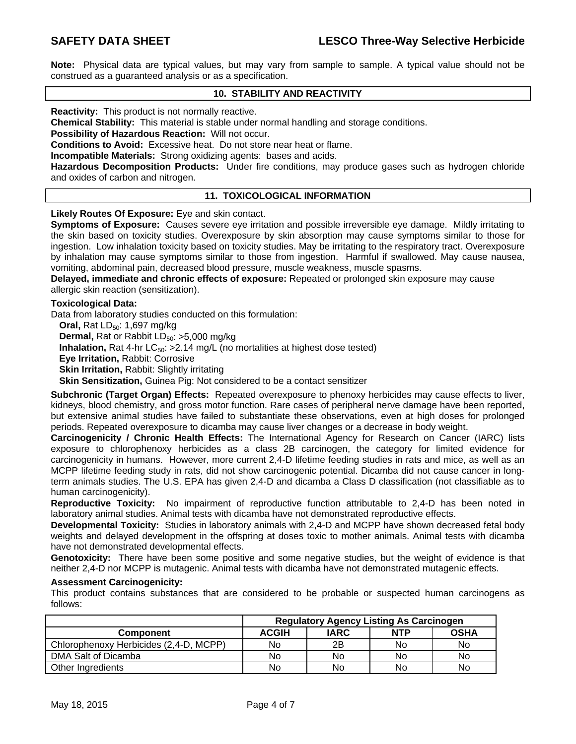**Note:** Physical data are typical values, but may vary from sample to sample. A typical value should not be construed as a guaranteed analysis or as a specification.

## **10. STABILITY AND REACTIVITY**

**Reactivity:** This product is not normally reactive.

**Chemical Stability:** This material is stable under normal handling and storage conditions.

**Possibility of Hazardous Reaction:** Will not occur.

**Conditions to Avoid:** Excessive heat. Do not store near heat or flame.

**Incompatible Materials:** Strong oxidizing agents: bases and acids.

**Hazardous Decomposition Products:** Under fire conditions, may produce gases such as hydrogen chloride and oxides of carbon and nitrogen.

### **11. TOXICOLOGICAL INFORMATION**

**Likely Routes Of Exposure:** Eye and skin contact.

**Symptoms of Exposure:** Causes severe eye irritation and possible irreversible eye damage. Mildly irritating to the skin based on toxicity studies. Overexposure by skin absorption may cause symptoms similar to those for ingestion. Low inhalation toxicity based on toxicity studies. May be irritating to the respiratory tract. Overexposure by inhalation may cause symptoms similar to those from ingestion. Harmful if swallowed. May cause nausea, vomiting, abdominal pain, decreased blood pressure, muscle weakness, muscle spasms.

**Delayed, immediate and chronic effects of exposure:** Repeated or prolonged skin exposure may cause allergic skin reaction (sensitization).

#### **Toxicological Data:**

Data from laboratory studies conducted on this formulation:

**Oral, Rat LD<sub>50</sub>: 1,697 mg/kg Dermal, Rat or Rabbit LD<sub>50</sub>: >5,000 mg/kg Inhalation,** Rat 4-hr  $LC_{50}$ :  $>2.14$  mg/L (no mortalities at highest dose tested) **Eye Irritation,** Rabbit: Corrosive **Skin Irritation, Rabbit: Slightly irritating Skin Sensitization, Guinea Pig: Not considered to be a contact sensitizer** 

**Subchronic (Target Organ) Effects:** Repeated overexposure to phenoxy herbicides may cause effects to liver, kidneys, blood chemistry, and gross motor function. Rare cases of peripheral nerve damage have been reported, but extensive animal studies have failed to substantiate these observations, even at high doses for prolonged periods. Repeated overexposure to dicamba may cause liver changes or a decrease in body weight.

**Carcinogenicity / Chronic Health Effects:** The International Agency for Research on Cancer (IARC) lists exposure to chlorophenoxy herbicides as a class 2B carcinogen, the category for limited evidence for carcinogenicity in humans. However, more current 2,4-D lifetime feeding studies in rats and mice, as well as an MCPP lifetime feeding study in rats, did not show carcinogenic potential. Dicamba did not cause cancer in longterm animals studies. The U.S. EPA has given 2,4-D and dicamba a Class D classification (not classifiable as to human carcinogenicity).

**Reproductive Toxicity:** No impairment of reproductive function attributable to 2,4-D has been noted in laboratory animal studies. Animal tests with dicamba have not demonstrated reproductive effects.

**Developmental Toxicity:** Studies in laboratory animals with 2,4-D and MCPP have shown decreased fetal body weights and delayed development in the offspring at doses toxic to mother animals. Animal tests with dicamba have not demonstrated developmental effects.

**Genotoxicity:** There have been some positive and some negative studies, but the weight of evidence is that neither 2,4-D nor MCPP is mutagenic. Animal tests with dicamba have not demonstrated mutagenic effects.

### **Assessment Carcinogenicity:**

This product contains substances that are considered to be probable or suspected human carcinogens as follows:

|                                        | <b>Regulatory Agency Listing As Carcinogen</b> |             |            |             |
|----------------------------------------|------------------------------------------------|-------------|------------|-------------|
| <b>Component</b>                       | <b>ACGIH</b>                                   | <b>IARC</b> | <b>NTP</b> | <b>OSHA</b> |
| Chlorophenoxy Herbicides (2,4-D, MCPP) | No                                             | 2B          | No         | No          |
| DMA Salt of Dicamba                    | No                                             | No          | No         | No          |
| Other Ingredients                      | No                                             | No          | No         | No          |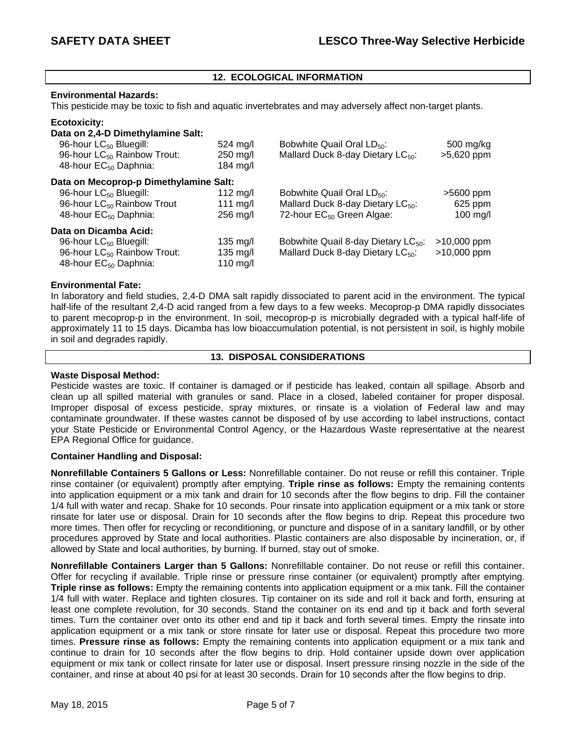## **12. ECOLOGICAL INFORMATION**

#### **Environmental Hazards:**

This pesticide may be toxic to fish and aquatic invertebrates and may adversely affect non-target plants.

#### **Ecotoxicity:**

| Data on 2,4-D Dimethylamine Salt:       |                    |                                                 |               |
|-----------------------------------------|--------------------|-------------------------------------------------|---------------|
| 96-hour LC <sub>50</sub> Bluegill:      | $524 \text{ ma/l}$ | Bobwhite Quail Oral LD <sub>50</sub> :          | 500 mg/kg     |
| 96-hour LC <sub>50</sub> Rainbow Trout: | 250 mg/l           | Mallard Duck 8-day Dietary LC <sub>50</sub> :   | >5,620 ppm    |
| 48-hour EC <sub>50</sub> Daphnia:       | 184 $mg/l$         |                                                 |               |
| Data on Mecoprop-p Dimethylamine Salt:  |                    |                                                 |               |
| 96-hour LC <sub>50</sub> Bluegill:      | 112 $mg/l$         | Bobwhite Quail Oral $LD_{50}$ :                 | $>5600$ ppm   |
| 96-hour LC <sub>50</sub> Rainbow Trout  | 111 mg/l           | Mallard Duck 8-day Dietary LC <sub>50</sub> :   | 625 ppm       |
| 48-hour EC <sub>50</sub> Daphnia:       | $256$ mg/l         | 72-hour EC <sub>50</sub> Green Algae:           | $100$ mg/l    |
| Data on Dicamba Acid:                   |                    |                                                 |               |
| 96-hour LC <sub>50</sub> Bluegill:      | $135 \text{ mg/l}$ | Bobwhite Quail 8-day Dietary LC <sub>50</sub> : | $>10,000$ ppm |
| 96-hour LC <sub>50</sub> Rainbow Trout: | $135 \text{ mg/l}$ | Mallard Duck 8-day Dietary LC <sub>50</sub> :   | $>10,000$ ppm |
| 48-hour EC <sub>50</sub> Daphnia:       | 110 mg/l           |                                                 |               |

### **Environmental Fate:**

In laboratory and field studies, 2,4-D DMA salt rapidly dissociated to parent acid in the environment. The typical half-life of the resultant 2,4-D acid ranged from a few days to a few weeks. Mecoprop-p DMA rapidly dissociates to parent mecoprop-p in the environment. In soil, mecoprop-p is microbially degraded with a typical half-life of approximately 11 to 15 days. Dicamba has low bioaccumulation potential, is not persistent in soil, is highly mobile in soil and degrades rapidly.

#### **13. DISPOSAL CONSIDERATIONS**

#### **Waste Disposal Method:**

Pesticide wastes are toxic. If container is damaged or if pesticide has leaked, contain all spillage. Absorb and clean up all spilled material with granules or sand. Place in a closed, labeled container for proper disposal. Improper disposal of excess pesticide, spray mixtures, or rinsate is a violation of Federal law and may contaminate groundwater. If these wastes cannot be disposed of by use according to label instructions, contact your State Pesticide or Environmental Control Agency, or the Hazardous Waste representative at the nearest EPA Regional Office for guidance.

### **Container Handling and Disposal:**

**Nonrefillable Containers 5 Gallons or Less:** Nonrefillable container. Do not reuse or refill this container. Triple rinse container (or equivalent) promptly after emptying. **Triple rinse as follows:** Empty the remaining contents into application equipment or a mix tank and drain for 10 seconds after the flow begins to drip. Fill the container 1/4 full with water and recap. Shake for 10 seconds. Pour rinsate into application equipment or a mix tank or store rinsate for later use or disposal. Drain for 10 seconds after the flow begins to drip. Repeat this procedure two more times. Then offer for recycling or reconditioning, or puncture and dispose of in a sanitary landfill, or by other procedures approved by State and local authorities. Plastic containers are also disposable by incineration, or, if allowed by State and local authorities, by burning. If burned, stay out of smoke.

**Nonrefillable Containers Larger than 5 Gallons:** Nonrefillable container. Do not reuse or refill this container. Offer for recycling if available. Triple rinse or pressure rinse container (or equivalent) promptly after emptying. **Triple rinse as follows:** Empty the remaining contents into application equipment or a mix tank. Fill the container 1/4 full with water. Replace and tighten closures. Tip container on its side and roll it back and forth, ensuring at least one complete revolution, for 30 seconds. Stand the container on its end and tip it back and forth several times. Turn the container over onto its other end and tip it back and forth several times. Empty the rinsate into application equipment or a mix tank or store rinsate for later use or disposal. Repeat this procedure two more times. **Pressure rinse as follows:** Empty the remaining contents into application equipment or a mix tank and continue to drain for 10 seconds after the flow begins to drip. Hold container upside down over application equipment or mix tank or collect rinsate for later use or disposal. Insert pressure rinsing nozzle in the side of the container, and rinse at about 40 psi for at least 30 seconds. Drain for 10 seconds after the flow begins to drip.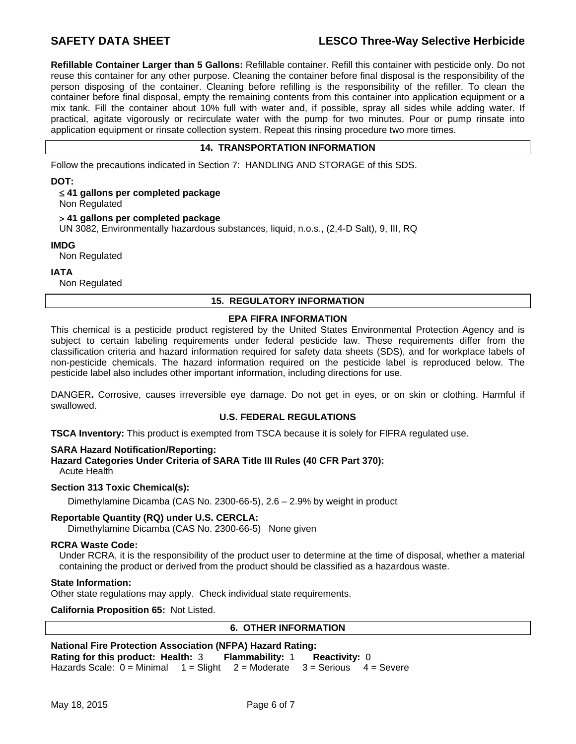# SAFETY DATA SHEET **LESCO Three-Way Selective Herbicide**

**Refillable Container Larger than 5 Gallons:** Refillable container. Refill this container with pesticide only. Do not reuse this container for any other purpose. Cleaning the container before final disposal is the responsibility of the person disposing of the container. Cleaning before refilling is the responsibility of the refiller. To clean the container before final disposal, empty the remaining contents from this container into application equipment or a mix tank. Fill the container about 10% full with water and, if possible, spray all sides while adding water. If practical, agitate vigorously or recirculate water with the pump for two minutes. Pour or pump rinsate into application equipment or rinsate collection system. Repeat this rinsing procedure two more times.

## **14. TRANSPORTATION INFORMATION**

Follow the precautions indicated in Section 7: HANDLING AND STORAGE of this SDS.

**DOT:** 

 **41 gallons per completed package** 

Non Regulated

#### **41 gallons per completed package**

UN 3082, Environmentally hazardous substances, liquid, n.o.s., (2,4-D Salt), 9, III, RQ

#### **IMDG**

Non Regulated

**IATA** 

Non Regulated

## **15. REGULATORY INFORMATION**

#### **EPA FIFRA INFORMATION**

This chemical is a pesticide product registered by the United States Environmental Protection Agency and is subject to certain labeling requirements under federal pesticide law. These requirements differ from the classification criteria and hazard information required for safety data sheets (SDS), and for workplace labels of non-pesticide chemicals. The hazard information required on the pesticide label is reproduced below. The pesticide label also includes other important information, including directions for use.

DANGER**.** Corrosive, causes irreversible eye damage. Do not get in eyes, or on skin or clothing. Harmful if swallowed.

### **U.S. FEDERAL REGULATIONS**

**TSCA Inventory:** This product is exempted from TSCA because it is solely for FIFRA regulated use.

### **SARA Hazard Notification/Reporting:**

**Hazard Categories Under Criteria of SARA Title III Rules (40 CFR Part 370):**

Acute Health

### **Section 313 Toxic Chemical(s):**

Dimethylamine Dicamba (CAS No. 2300-66-5), 2.6 – 2.9% by weight in product

### **Reportable Quantity (RQ) under U.S. CERCLA:**

Dimethylamine Dicamba (CAS No. 2300-66-5) None given

#### **RCRA Waste Code:**

Under RCRA, it is the responsibility of the product user to determine at the time of disposal, whether a material containing the product or derived from the product should be classified as a hazardous waste.

#### **State Information:**

Other state regulations may apply. Check individual state requirements.

**California Proposition 65:** Not Listed.

### **6. OTHER INFORMATION**

## **National Fire Protection Association (NFPA) Hazard Rating: Rating for this product: Health:** 3 **Flammability:** 1 **Reactivity:** 0 Hazards Scale:  $0 =$  Minimal  $1 =$  Slight  $2 =$  Moderate  $3 =$  Serious  $4 =$  Severe